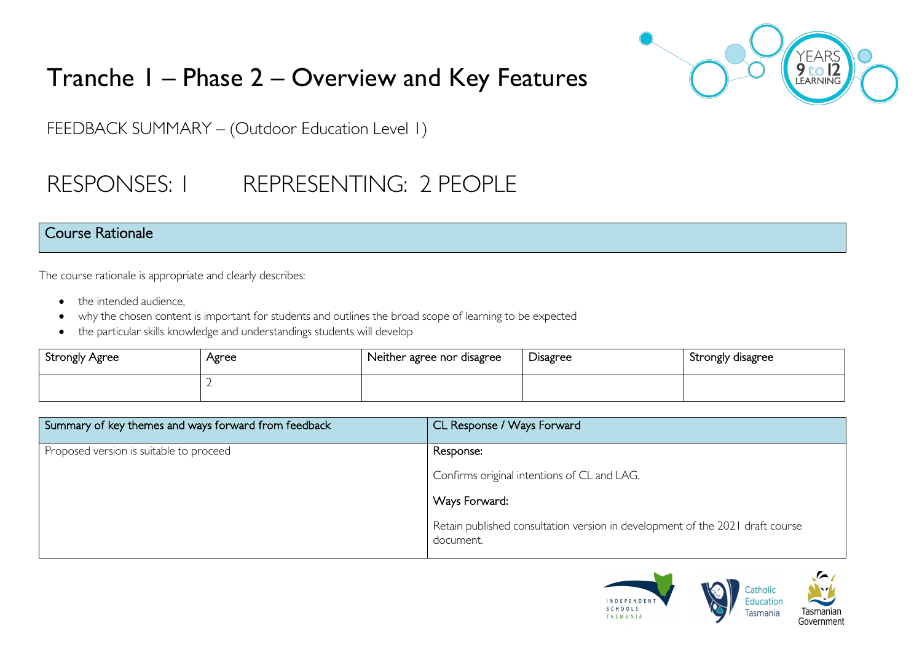

# Tranche 1 – Phase 2 – Overview and Key Features

FEEDBACK SUMMARY – (Outdoor Education Level 1)

# RESPONSES: 1 REPRESENTING: 2 PEOPLE

### Course Rationale

The course rationale is appropriate and clearly describes:

- the intended audience.
- why the chosen content is important for students and outlines the broad scope of learning to be expected
- the particular skills knowledge and understandings students will develop

| Strongly Agree | Agree | Neither agree nor disagree | Disagree | Strongly disagree |
|----------------|-------|----------------------------|----------|-------------------|
|                |       |                            |          |                   |

| Summary of key themes and ways forward from feedback | CL Response / Ways Forward                                                                 |  |
|------------------------------------------------------|--------------------------------------------------------------------------------------------|--|
| Proposed version is suitable to proceed              | Response:                                                                                  |  |
|                                                      | Confirms original intentions of CL and LAG.                                                |  |
|                                                      | Nays Forward:                                                                              |  |
|                                                      | Retain published consultation version in development of the 2021 draft course<br>document. |  |

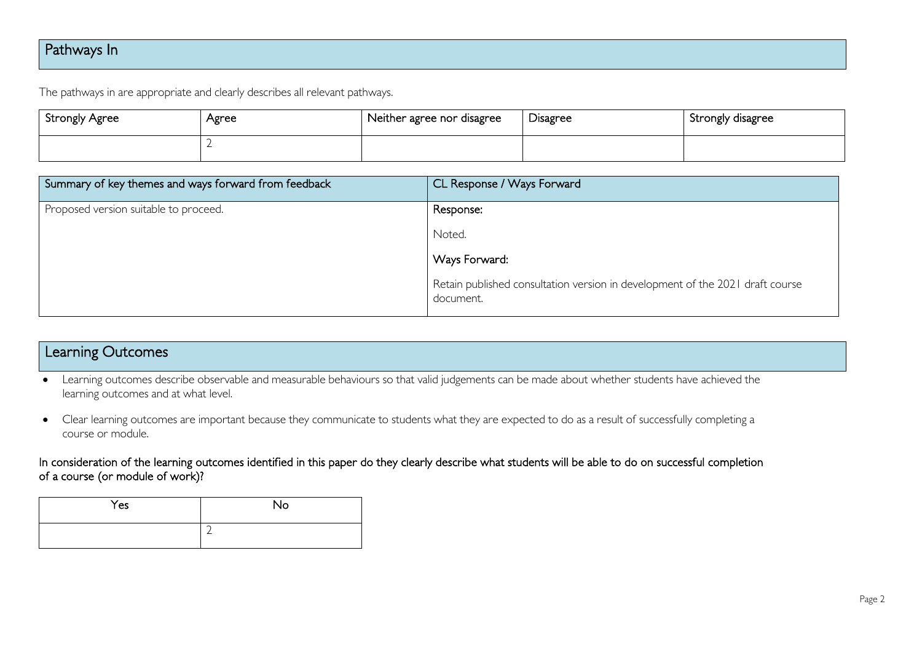# Pathways In

The pathways in are appropriate and clearly describes all relevant pathways.

| Strongly Agree | Agree | Neither agree nor disagree | Disagree | Strongly disagree |
|----------------|-------|----------------------------|----------|-------------------|
|                |       |                            |          |                   |

| Summary of key themes and ways forward from feedback | CL Response / Ways Forward                                                                 |
|------------------------------------------------------|--------------------------------------------------------------------------------------------|
| Proposed version suitable to proceed.                | Response:                                                                                  |
|                                                      | Noted.                                                                                     |
|                                                      | Ways Forward:                                                                              |
|                                                      | Retain published consultation version in development of the 2021 draft course<br>document. |

#### Learning Outcomes

- Learning outcomes describe observable and measurable behaviours so that valid judgements can be made about whether students have achieved the learning outcomes and at what level.
- Clear learning outcomes are important because they communicate to students what they are expected to do as a result of successfully completing a course or module.

In consideration of the learning outcomes identified in this paper do they clearly describe what students will be able to do on successful completion of a course (or module of work)?

| Yes | No |
|-----|----|
|     | ∽  |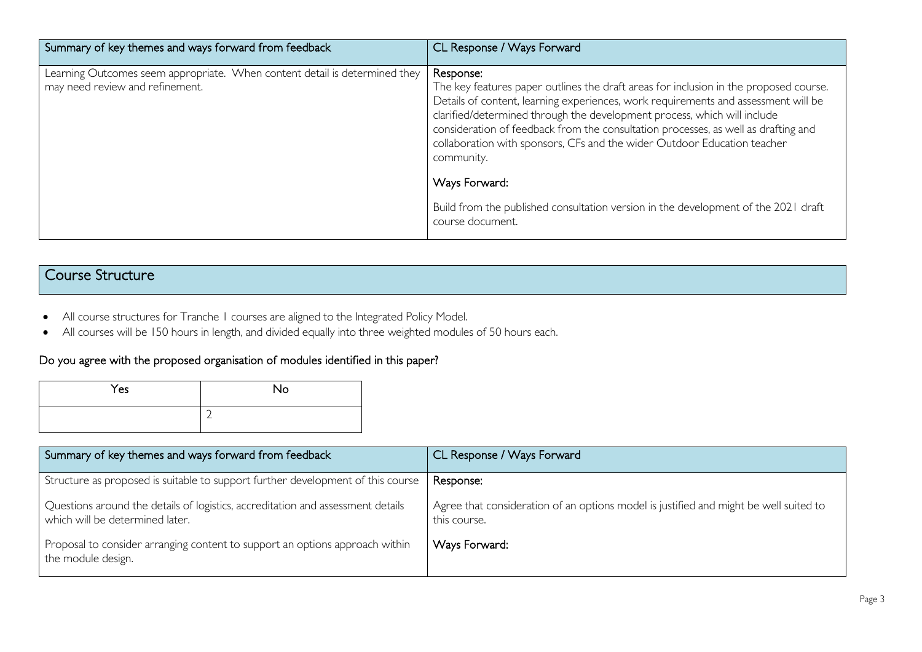| Summary of key themes and ways forward from feedback                                                          | CL Response / Ways Forward                                                                                                                                                                                                                                                                                                                                                                                                                           |
|---------------------------------------------------------------------------------------------------------------|------------------------------------------------------------------------------------------------------------------------------------------------------------------------------------------------------------------------------------------------------------------------------------------------------------------------------------------------------------------------------------------------------------------------------------------------------|
| Learning Outcomes seem appropriate. When content detail is determined they<br>may need review and refinement. | Response:<br>The key features paper outlines the draft areas for inclusion in the proposed course.<br>Details of content, learning experiences, work requirements and assessment will be<br>clarified/determined through the development process, which will include<br>consideration of feedback from the consultation processes, as well as drafting and<br>collaboration with sponsors, CFs and the wider Outdoor Education teacher<br>community. |
|                                                                                                               | Ways Forward:<br>Build from the published consultation version in the development of the 2021 draft<br>course document.                                                                                                                                                                                                                                                                                                                              |

## Course Structure

- All course structures for Tranche 1 courses are aligned to the Integrated Policy Model.
- All courses will be 150 hours in length, and divided equally into three weighted modules of 50 hours each.

#### Do you agree with the proposed organisation of modules identified in this paper?

| Yes | No                       |
|-----|--------------------------|
|     | $\overline{\phantom{0}}$ |

| Summary of key themes and ways forward from feedback                                                               | CL Response / Ways Forward                                                                            |
|--------------------------------------------------------------------------------------------------------------------|-------------------------------------------------------------------------------------------------------|
| Structure as proposed is suitable to support further development of this course                                    | Response:                                                                                             |
| Questions around the details of logistics, accreditation and assessment details<br>which will be determined later. | Agree that consideration of an options model is justified and might be well suited to<br>this course. |
| Proposal to consider arranging content to support an options approach within<br>the module design.                 | Ways Forward:                                                                                         |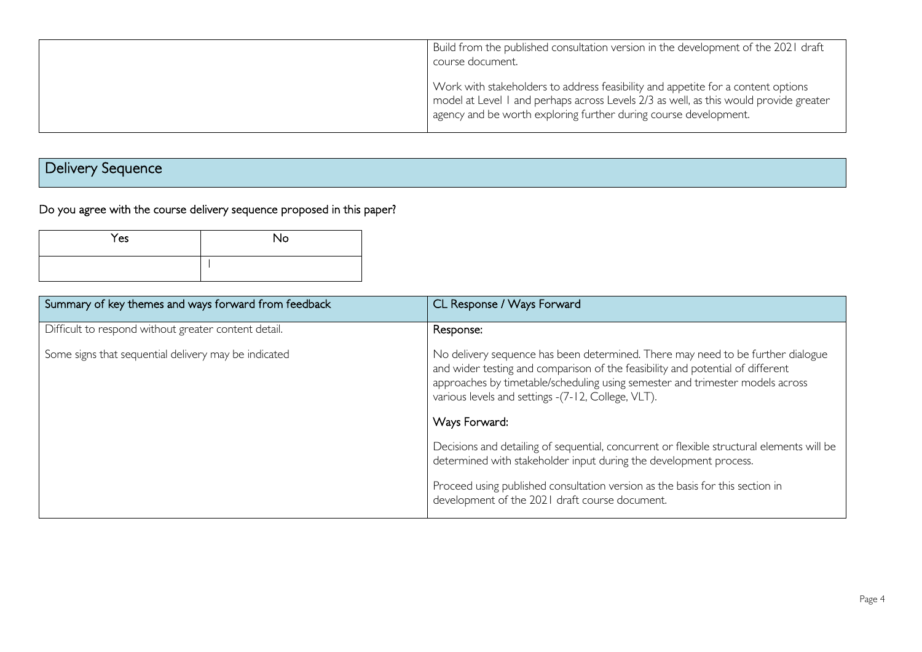| Build from the published consultation version in the development of the 2021 draft<br>course document.                                                                                                                                        |
|-----------------------------------------------------------------------------------------------------------------------------------------------------------------------------------------------------------------------------------------------|
| Work with stakeholders to address feasibility and appetite for a content options<br>model at Level 1 and perhaps across Levels 2/3 as well, as this would provide greater<br>agency and be worth exploring further during course development. |

# Delivery Sequence

Do you agree with the course delivery sequence proposed in this paper?

| Yes | No |
|-----|----|
|     |    |

| Summary of key themes and ways forward from feedback | CL Response / Ways Forward                                                                                                                                                                                                                                                                                                |
|------------------------------------------------------|---------------------------------------------------------------------------------------------------------------------------------------------------------------------------------------------------------------------------------------------------------------------------------------------------------------------------|
| Difficult to respond without greater content detail. | Response:                                                                                                                                                                                                                                                                                                                 |
| Some signs that sequential delivery may be indicated | No delivery sequence has been determined. There may need to be further dialogue<br>and wider testing and comparison of the feasibility and potential of different<br>approaches by timetable/scheduling using semester and trimester models across<br>various levels and settings -(7-12, College, VLT).<br>Ways Forward: |
|                                                      |                                                                                                                                                                                                                                                                                                                           |
|                                                      | Decisions and detailing of sequential, concurrent or flexible structural elements will be<br>determined with stakeholder input during the development process.                                                                                                                                                            |
|                                                      | Proceed using published consultation version as the basis for this section in<br>development of the 2021 draft course document.                                                                                                                                                                                           |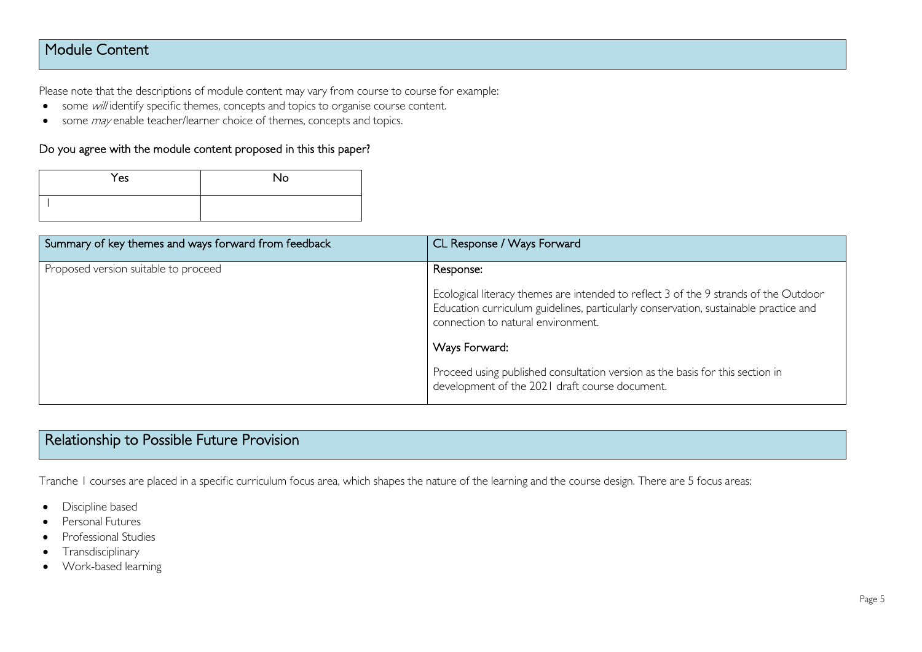## Module Content

Please note that the descriptions of module content may vary from course to course for example:

- some will identify specific themes, concepts and topics to organise course content.
- some *may* enable teacher/learner choice of themes, concepts and topics.

#### Do you agree with the module content proposed in this this paper?

| Yes | <b>No</b> |
|-----|-----------|
|     |           |

| Summary of key themes and ways forward from feedback | CL Response / Ways Forward                                                                                                                                                                                         |
|------------------------------------------------------|--------------------------------------------------------------------------------------------------------------------------------------------------------------------------------------------------------------------|
| Proposed version suitable to proceed                 | Response:                                                                                                                                                                                                          |
|                                                      | Ecological literacy themes are intended to reflect 3 of the 9 strands of the Outdoor<br>Education curriculum guidelines, particularly conservation, sustainable practice and<br>connection to natural environment. |
|                                                      | Ways Forward:                                                                                                                                                                                                      |
|                                                      | Proceed using published consultation version as the basis for this section in<br>development of the 2021 draft course document.                                                                                    |

# Relationship to Possible Future Provision

Tranche 1 courses are placed in a specific curriculum focus area, which shapes the nature of the learning and the course design. There are 5 focus areas:

- Discipline based
- Personal Futures
- Professional Studies
- Transdisciplinary
- Work-based learning